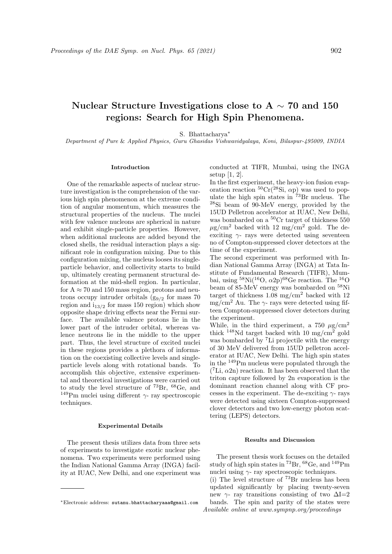# Nuclear Structure Investigations close to A  $\sim$  70 and 150 regions: Search for High Spin Phenomena.

S. Bhattacharya<sup>∗</sup>

Department of Pure & Applied Physics, Guru Ghasidas Vishwavidyalaya, Koni, Bilaspur-495009, INDIA

### Introduction

One of the remarkable aspects of nuclear structure investigation is the comprehension of the various high spin phenomenon at the extreme condition of angular momentum, which measures the structural properties of the nucleus. The nuclei with few valence nucleons are spherical in nature and exhibit single-particle properties. However, when additional nucleons are added beyond the closed shells, the residual interaction plays a significant role in configuration mixing. Due to this configuration mixing, the nucleus looses its singleparticle behavior, and collectivity starts to build up, ultimately creating permanent structural deformation at the mid-shell region. In particular, for  $A \approx 70$  and 150 mass region, protons and neutrons occupy intruder orbitals  $(g_{9/2}$  for mass 70 region and  $i_{13/2}$  for mass 150 region) which show opposite shape driving effects near the Fermi surface. The available valence protons lie in the lower part of the intruder orbital, whereas valence neutrons lie in the middle to the upper part. Thus, the level structure of excited nuclei in these regions provides a plethora of information on the coexisting collective levels and singleparticle levels along with rotational bands. To accomplish this objective, extensive experimental and theoretical investigations were carried out to study the level structure of <sup>73</sup>Br, <sup>68</sup>Ge, and  $^{149}{\rm Pm}$  nuclei using different  $\gamma$  - ray spectroscopic techniques.

# Experimental Details

The present thesis utilizes data from three sets of experiments to investigate exotic nuclear phenomena. Two experiments were performed using the Indian National Gamma Array (INGA) facility at IUAC, New Delhi, and one experiment was

conducted at TIFR, Mumbai, using the INGA setup [1, 2].

In the first experiment, the heavy-ion fusion evaporation reaction  ${}^{50}Cr({}^{28}\text{Si}, \alpha \text{p})$  was used to populate the high spin states in  $\frac{73}{8}Br$  nucleus. The <sup>28</sup>Si beam of 90-MeV energy, provided by the 15UD Pelletron accelerator at IUAC, New Delhi, was bombarded on a <sup>50</sup>Cr target of thickness 550  $\mu$ g/cm<sup>2</sup> backed with 12 mg/cm<sup>2</sup> gold. The deexciting  $\gamma$ - rays were detected using seventeen no of Compton-suppressed clover detectors at the time of the experiment.

The second experiment was performed with Indian National Gamma Array (INGA) at Tata Institute of Fundamental Research (TIFR), Mumbai, using  $^{58}\text{Ni}({}^{16}\text{O}, \alpha2\text{p})^{68}\text{Ge reaction}$ . The  $^{16}_{20}\text{O}$ beam of 85-MeV energy was bombarded on <sup>58</sup>Ni target of thickness  $1.08 \text{ mg/cm}^2$  backed with 12 mg/cm<sup>2</sup> Au. The  $\gamma$ - rays were detected using fifteen Compton-suppressed clover detectors during the experiment.

While, in the third experiment, a 750  $\mu$ g/cm<sup>2</sup> thick <sup>148</sup>Nd target backed with 10 mg/cm<sup>2</sup> gold was bombarded by <sup>7</sup>Li projectile with the energy of 30 MeV delivered from 15UD pelletron accelerator at IUAC, New Delhi. The high spin states in the <sup>149</sup>Pm nucleus were populated through the  $({}^7\text{Li}, \alpha 2n)$  reaction. It has been observed that the triton capture followed by 2n evaporation is the dominant reaction channel along with CF processes in the experiment. The de-exciting  $\gamma$ - rays were detected using sixteen Compton-suppressed clover detectors and two low-energy photon scattering (LEPS) detectors.

## Results and Discussion

The present thesis work focuses on the detailed study of high spin states in  $^{73}Br$ ,  $^{68}Ge$ , and  $^{149}Pm$ nuclei using  $\gamma$ - ray spectroscopic techniques. (i) The level structure of  $^{73}\text{Br}$  nucleus has been updated significantly by placing twenty-seven new  $\gamma$ - ray transitions consisting of two  $\Delta I=2$ bands. The spin and parity of the states were Available online at www.sympnp.org/proceedings

<sup>∗</sup>Electronic address: sutanu.bhattacharyaaa@gmail.com